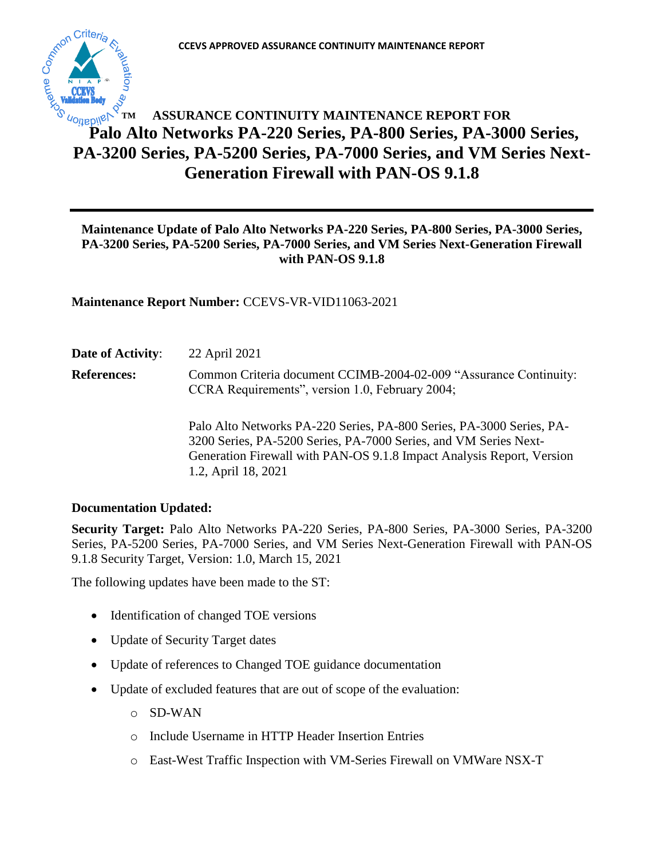

# **ASSURANCE CONTINUITY MAINTENANCE REPORT FOR Palo Alto Networks PA-220 Series, PA-800 Series, PA-3000 Series, PA-3200 Series, PA-5200 Series, PA-7000 Series, and VM Series Next-Generation Firewall with PAN-OS 9.1.8 TM**

# **Maintenance Update of Palo Alto Networks PA-220 Series, PA-800 Series, PA-3000 Series, PA-3200 Series, PA-5200 Series, PA-7000 Series, and VM Series Next-Generation Firewall with PAN-OS 9.1.8**

**Maintenance Report Number:** CCEVS-VR-VID11063-2021

**Date of Activity**: 22 April 2021

**References:** Common Criteria document CCIMB-2004-02-009 "Assurance Continuity: CCRA Requirements", version 1.0, February 2004;

> Palo Alto Networks PA-220 Series, PA-800 Series, PA-3000 Series, PA-3200 Series, PA-5200 Series, PA-7000 Series, and VM Series Next-Generation Firewall with PAN-OS 9.1.8 Impact Analysis Report, Version 1.2, April 18, 2021

## **Documentation Updated:**

**Security Target:** Palo Alto Networks PA-220 Series, PA-800 Series, PA-3000 Series, PA-3200 Series, PA-5200 Series, PA-7000 Series, and VM Series Next-Generation Firewall with PAN-OS 9.1.8 Security Target, Version: 1.0, March 15, 2021

The following updates have been made to the ST:

- Identification of changed TOE versions
- Update of Security Target dates
- Update of references to Changed TOE guidance documentation
- Update of excluded features that are out of scope of the evaluation:
	- o SD-WAN
	- o Include Username in HTTP Header Insertion Entries
	- o East-West Traffic Inspection with VM-Series Firewall on VMWare NSX-T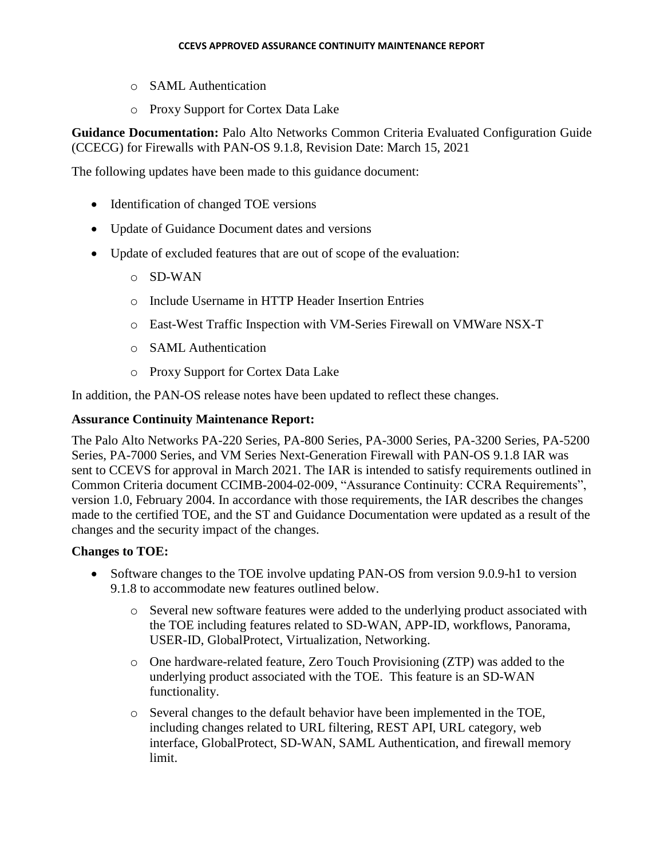- o SAML Authentication
- o Proxy Support for Cortex Data Lake

**Guidance Documentation:** Palo Alto Networks Common Criteria Evaluated Configuration Guide (CCECG) for Firewalls with PAN-OS 9.1.8, Revision Date: March 15, 2021

The following updates have been made to this guidance document:

- Identification of changed TOE versions
- Update of Guidance Document dates and versions
- Update of excluded features that are out of scope of the evaluation:
	- o SD-WAN
	- o Include Username in HTTP Header Insertion Entries
	- o East-West Traffic Inspection with VM-Series Firewall on VMWare NSX-T
	- o SAML Authentication
	- o Proxy Support for Cortex Data Lake

In addition, the PAN-OS release notes have been updated to reflect these changes.

#### **Assurance Continuity Maintenance Report:**

The Palo Alto Networks PA-220 Series, PA-800 Series, PA-3000 Series, PA-3200 Series, PA-5200 Series, PA-7000 Series, and VM Series Next-Generation Firewall with PAN-OS 9.1.8 IAR was sent to CCEVS for approval in March 2021. The IAR is intended to satisfy requirements outlined in Common Criteria document CCIMB-2004-02-009, "Assurance Continuity: CCRA Requirements", version 1.0, February 2004. In accordance with those requirements, the IAR describes the changes made to the certified TOE, and the ST and Guidance Documentation were updated as a result of the changes and the security impact of the changes.

## **Changes to TOE:**

- Software changes to the TOE involve updating PAN-OS from version 9.0.9-h1 to version 9.1.8 to accommodate new features outlined below.
	- o Several new software features were added to the underlying product associated with the TOE including features related to SD-WAN, APP-ID, workflows, Panorama, USER-ID, GlobalProtect, Virtualization, Networking.
	- o One hardware-related feature, Zero Touch Provisioning (ZTP) was added to the underlying product associated with the TOE. This feature is an SD-WAN functionality.
	- o Several changes to the default behavior have been implemented in the TOE, including changes related to URL filtering, REST API, URL category, web interface, GlobalProtect, SD-WAN, SAML Authentication, and firewall memory limit.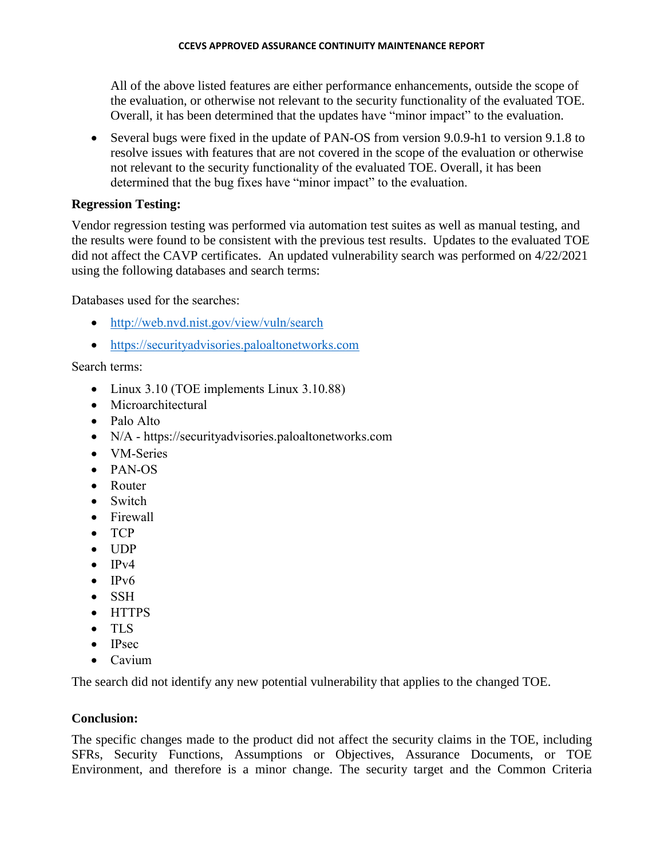All of the above listed features are either performance enhancements, outside the scope of the evaluation, or otherwise not relevant to the security functionality of the evaluated TOE. Overall, it has been determined that the updates have "minor impact" to the evaluation.

 Several bugs were fixed in the update of PAN-OS from version 9.0.9-h1 to version 9.1.8 to resolve issues with features that are not covered in the scope of the evaluation or otherwise not relevant to the security functionality of the evaluated TOE. Overall, it has been determined that the bug fixes have "minor impact" to the evaluation.

# **Regression Testing:**

Vendor regression testing was performed via automation test suites as well as manual testing, and the results were found to be consistent with the previous test results. Updates to the evaluated TOE did not affect the CAVP certificates. An updated vulnerability search was performed on 4/22/2021 using the following databases and search terms:

Databases used for the searches:

- <http://web.nvd.nist.gov/view/vuln/search>
- [https://securityadvisories.paloaltonetworks.com](https://securityadvisories.paloaltonetworks.com/)

Search terms:

- Linux 3.10 (TOE implements Linux 3.10.88)
- Microarchitectural
- Palo Alto
- N/A https://securityadvisories.paloaltonetworks.com
- VM-Series
- PAN-OS
- Router
- Switch
- Firewall
- TCP
- $\bullet$  UDP
- $\bullet$  IPv4
- $\bullet$  IPv6
- SSH
- HTTPS
- TLS
- $\bullet$  IPsec
- Cavium

The search did not identify any new potential vulnerability that applies to the changed TOE.

# **Conclusion:**

The specific changes made to the product did not affect the security claims in the TOE, including SFRs, Security Functions, Assumptions or Objectives, Assurance Documents, or TOE Environment, and therefore is a minor change. The security target and the Common Criteria